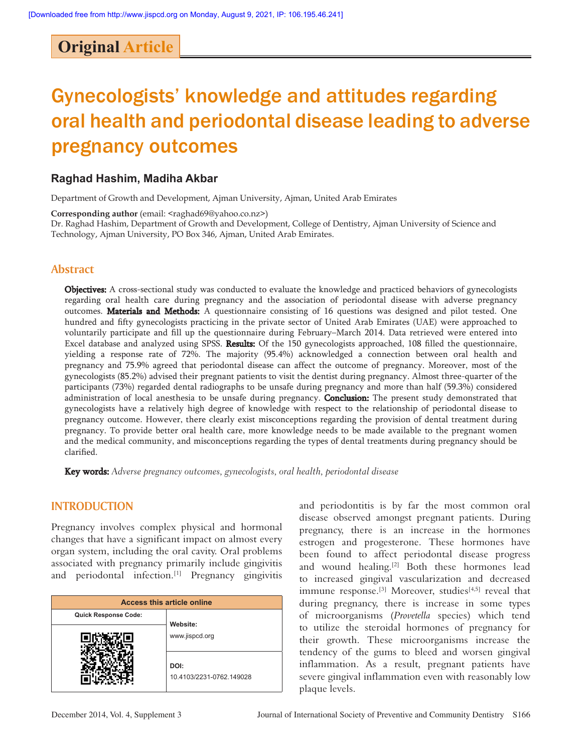# **Original Article**

# Gynecologists' knowledge and attitudes regarding oral health and periodontal disease leading to adverse pregnancy outcomes

# **Raghad Hashim, Madiha Akbar**

Department of Growth and Development, Ajman University, Ajman, United Arab Emirates

Corresponding author (email: <raghad69@yahoo.co.nz>)

Dr. Raghad Hashim, Department of Growth and Development, College of Dentistry, Ajman University of Science and Technology, Ajman University, PO Box 346, Ajman, United Arab Emirates.

## **Abstract**

Objectives: A cross-sectional study was conducted to evaluate the knowledge and practiced behaviors of gynecologists regarding oral health care during pregnancy and the association of periodontal disease with adverse pregnancy outcomes. Materials and Methods: A questionnaire consisting of 16 questions was designed and pilot tested. One hundred and fifty gynecologists practicing in the private sector of United Arab Emirates (UAE) were approached to voluntarily participate and fill up the questionnaire during February–March 2014. Data retrieved were entered into Excel database and analyzed using SPSS. Results: Of the 150 gynecologists approached, 108 filled the questionnaire, yielding a response rate of 72%. The majority (95.4%) acknowledged a connection between oral health and pregnancy and 75.9% agreed that periodontal disease can affect the outcome of pregnancy. Moreover, most of the gynecologists (85.2%) advised their pregnant patients to visit the dentist during pregnancy. Almost three-quarter of the participants (73%) regarded dental radiographs to be unsafe during pregnancy and more than half (59.3%) considered administration of local anesthesia to be unsafe during pregnancy. **Conclusion:** The present study demonstrated that gynecologists have a relatively high degree of knowledge with respect to the relationship of periodontal disease to pregnancy outcome. However, there clearly exist misconceptions regarding the provision of dental treatment during pregnancy. To provide better oral health care, more knowledge needs to be made available to the pregnant women and the medical community, and misconceptions regarding the types of dental treatments during pregnancy should be clarified.

Key words: Adverse pregnancy outcomes, gynecologists, oral health, periodontal disease

## **INTRODUCTION**

Pregnancy involves complex physical and hormonal changes that have a significant impact on almost every organ system, including the oral cavity. Oral problems associated with pregnancy primarily include gingivitis and periodontal infection.<sup>[1]</sup> Pregnancy gingivitis

| www.jispcd.org           |
|--------------------------|
|                          |
|                          |
| 10.4103/2231-0762.149028 |
|                          |

and periodontitis is by far the most common oral disease observed amongst pregnant patients. During pregnancy, there is an increase in the hormones estrogen and progesterone. These hormones have been found to affect periodontal disease progress and wound healing.[2] Both these hormones lead to increased gingival vascularization and decreased immune response.<sup>[3]</sup> Moreover, studies<sup>[4,5]</sup> reveal that during pregnancy, there is increase in some types of microorganisms (*Provetella* species) which tend to utilize the steroidal hormones of pregnancy for their growth. These microorganisms increase the tendency of the gums to bleed and worsen gingival inflammation. As a result, pregnant patients have severe gingival inflammation even with reasonably low plaque levels.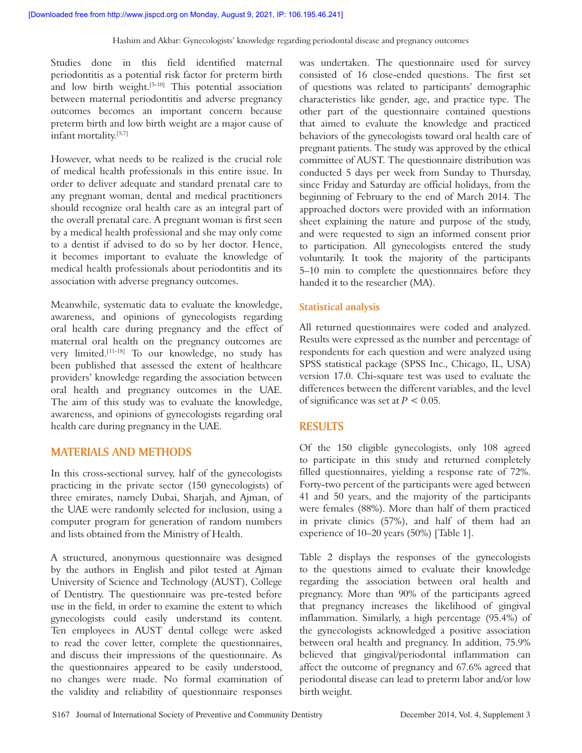Studies done in this field identified maternal periodontitis as a potential risk factor for preterm birth and low birth weight.<sup>[5-10]</sup> This potential association between maternal periodontitis and adverse pregnancy outcomes becomes an important concern because preterm birth and low birth weight are a major cause of infant mortality.[5,7]

However, what needs to be realized is the crucial role of medical health professionals in this entire issue. In order to deliver adequate and standard prenatal care to any pregnant woman, dental and medical practitioners should recognize oral health care as an integral part of the overall prenatal care. A pregnant woman is first seen by a medical health professional and she may only come to a dentist if advised to do so by her doctor. Hence, it becomes important to evaluate the knowledge of medical health professionals about periodontitis and its association with adverse pregnancy outcomes.

Meanwhile, systematic data to evaluate the knowledge, awareness, and opinions of gynecologists regarding oral health care during pregnancy and the effect of maternal oral health on the pregnancy outcomes are very limited.[11‑18] To our knowledge, no study has been published that assessed the extent of healthcare providers' knowledge regarding the association between oral health and pregnancy outcomes in the UAE. The aim of this study was to evaluate the knowledge, awareness, and opinions of gynecologists regarding oral health care during pregnancy in the UAE.

## **MATERIALS AND METHODS**

In this cross‑sectional survey, half of the gynecologists practicing in the private sector (150 gynecologists) of three emirates, namely Dubai, Sharjah, and Ajman, of the UAE were randomly selected for inclusion, using a computer program for generation of random numbers and lists obtained from the Ministry of Health.

A structured, anonymous questionnaire was designed by the authors in English and pilot tested at Ajman University of Science and Technology (AUST), College of Dentistry. The questionnaire was pre‑tested before use in the field, in order to examine the extent to which gynecologists could easily understand its content. Ten employees in AUST dental college were asked to read the cover letter, complete the questionnaires, and discuss their impressions of the questionnaire. As the questionnaires appeared to be easily understood, no changes were made. No formal examination of the validity and reliability of questionnaire responses

was undertaken. The questionnaire used for survey consisted of 16 close-ended questions. The first set of questions was related to participants' demographic characteristics like gender, age, and practice type. The other part of the questionnaire contained questions that aimed to evaluate the knowledge and practiced behaviors of the gynecologists toward oral health care of pregnant patients. The study was approved by the ethical committee of AUST. The questionnaire distribution was conducted 5 days per week from Sunday to Thursday, since Friday and Saturday are official holidays, from the beginning of February to the end of March 2014. The approached doctors were provided with an information sheet explaining the nature and purpose of the study, and were requested to sign an informed consent prior to participation. All gynecologists entered the study voluntarily. It took the majority of the participants 5–10 min to complete the questionnaires before they handed it to the researcher (MA).

## **Statistical analysis**

All returned questionnaires were coded and analyzed. Results were expressed as the number and percentage of respondents for each question and were analyzed using SPSS statistical package (SPSS Inc., Chicago, IL, USA) version 17.0. Chi‑square test was used to evaluate the differences between the different variables, and the level of significance was set at *P* < 0.05.

# **RESULTS**

Of the 150 eligible gynecologists, only 108 agreed to participate in this study and returned completely filled questionnaires, yielding a response rate of 72%. Forty-two percent of the participants were aged between 41 and 50 years, and the majority of the participants were females (88%). More than half of them practiced in private clinics (57%), and half of them had an experience of 10–20 years (50%) [Table 1].

Table 2 displays the responses of the gynecologists to the questions aimed to evaluate their knowledge regarding the association between oral health and pregnancy. More than 90% of the participants agreed that pregnancy increases the likelihood of gingival inflammation. Similarly, a high percentage (95.4%) of the gynecologists acknowledged a positive association between oral health and pregnancy. In addition, 75.9% believed that gingival/periodontal inflammation can affect the outcome of pregnancy and 67.6% agreed that periodontal disease can lead to preterm labor and/or low birth weight.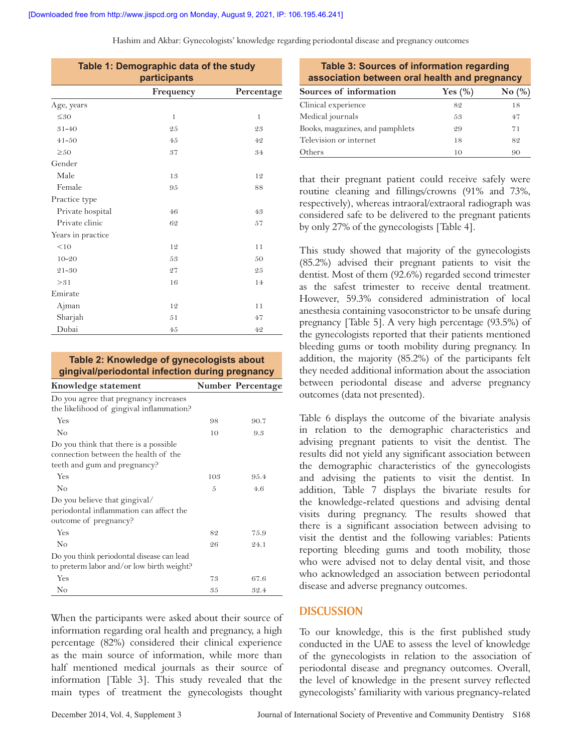| Table 1: Demographic data of the study<br>participants |              |              |  |
|--------------------------------------------------------|--------------|--------------|--|
|                                                        | Frequency    | Percentage   |  |
| Age, years                                             |              |              |  |
| $\leq 30$                                              | $\mathbf{1}$ | $\mathbf{1}$ |  |
| $31 - 40$                                              | 25           | 23           |  |
| $41 - 50$                                              | 45           | 42           |  |
| $\geq 50$                                              | 37           | 34           |  |
| Gender                                                 |              |              |  |
| Male                                                   | 13           | 12           |  |
| Female                                                 | 95           | 88           |  |
| Practice type                                          |              |              |  |
| Private hospital                                       | 46           | 43           |  |
| Private clinic                                         | 62           | 57           |  |
| Years in practice                                      |              |              |  |
| <10                                                    | 12           | 11           |  |
| $10 - 20$                                              | 53           | 50           |  |
| $21 - 30$                                              | 27           | 25           |  |
| >31                                                    | 16           | 14           |  |
| Emirate                                                |              |              |  |
| Ajman                                                  | 12           | 11           |  |
| Sharjah                                                | 51           | 47           |  |
| Dubai                                                  | 45           | 42           |  |

# **Table 2: Knowledge of gynecologists about gingival/periodontal infection during pregnancy**

| Knowledge statement                                                                               |     | <b>Number Percentage</b> |  |
|---------------------------------------------------------------------------------------------------|-----|--------------------------|--|
| Do you agree that pregnancy increases                                                             |     |                          |  |
| the likelihood of gingival inflammation?                                                          |     |                          |  |
| Yes                                                                                               | 98  | 90.7                     |  |
| N <sub>o</sub>                                                                                    | 10  | 9.3                      |  |
| Do you think that there is a possible                                                             |     |                          |  |
| connection between the health of the<br>teeth and gum and pregnancy?                              |     |                          |  |
| Yes                                                                                               | 103 | 95.4                     |  |
| N <sub>o</sub>                                                                                    | 5   | 4.6                      |  |
| Do you believe that gingival/<br>periodontal inflammation can affect the<br>outcome of pregnancy? |     |                          |  |
| Yes                                                                                               | 82  | 75.9                     |  |
| N <sub>o</sub>                                                                                    | 26  | 24.1                     |  |
| Do you think periodontal disease can lead                                                         |     |                          |  |
| to preterm labor and/or low birth weight?                                                         |     |                          |  |
| Yes                                                                                               | 73  | 67.6                     |  |
| N <sub>o</sub>                                                                                    | 35  | 32.4                     |  |

When the participants were asked about their source of information regarding oral health and pregnancy, a high percentage (82%) considered their clinical experience as the main source of information, while more than half mentioned medical journals as their source of information [Table 3]. This study revealed that the main types of treatment the gynecologists thought

| <b>Table 3: Sources of information regarding</b><br>association between oral health and pregnancy |            |        |  |  |
|---------------------------------------------------------------------------------------------------|------------|--------|--|--|
| Sources of information                                                                            | Yes $(\%)$ | No (%) |  |  |
| Clinical experience                                                                               | 82         | 18     |  |  |
| Medical journals                                                                                  | 53         | 47     |  |  |
| Books, magazines, and pamphlets                                                                   | 29         | 71     |  |  |
| Television or internet                                                                            | 18         | 82     |  |  |

that their pregnant patient could receive safely were routine cleaning and fillings/crowns (91% and 73%, respectively), whereas intraoral/extraoral radiograph was considered safe to be delivered to the pregnant patients by only 27% of the gynecologists [Table 4].

Others 10 90

This study showed that majority of the gynecologists (85.2%) advised their pregnant patients to visit the dentist. Most of them (92.6%) regarded second trimester as the safest trimester to receive dental treatment. However, 59.3% considered administration of local anesthesia containing vasoconstrictor to be unsafe during pregnancy [Table 5]. A very high percentage (93.5%) of the gynecologists reported that their patients mentioned bleeding gums or tooth mobility during pregnancy. In addition, the majority (85.2%) of the participants felt they needed additional information about the association between periodontal disease and adverse pregnancy outcomes (data not presented).

Table 6 displays the outcome of the bivariate analysis in relation to the demographic characteristics and advising pregnant patients to visit the dentist. The results did not yield any significant association between the demographic characteristics of the gynecologists and advising the patients to visit the dentist. In addition, Table 7 displays the bivariate results for the knowledge‑related questions and advising dental visits during pregnancy. The results showed that there is a significant association between advising to visit the dentist and the following variables: Patients reporting bleeding gums and tooth mobility, those who were advised not to delay dental visit, and those who acknowledged an association between periodontal disease and adverse pregnancy outcomes.

## **DISCUSSION**

To our knowledge, this is the first published study conducted in the UAE to assess the level of knowledge of the gynecologists in relation to the association of periodontal disease and pregnancy outcomes. Overall, the level of knowledge in the present survey reflected gynecologists' familiarity with various pregnancy‑related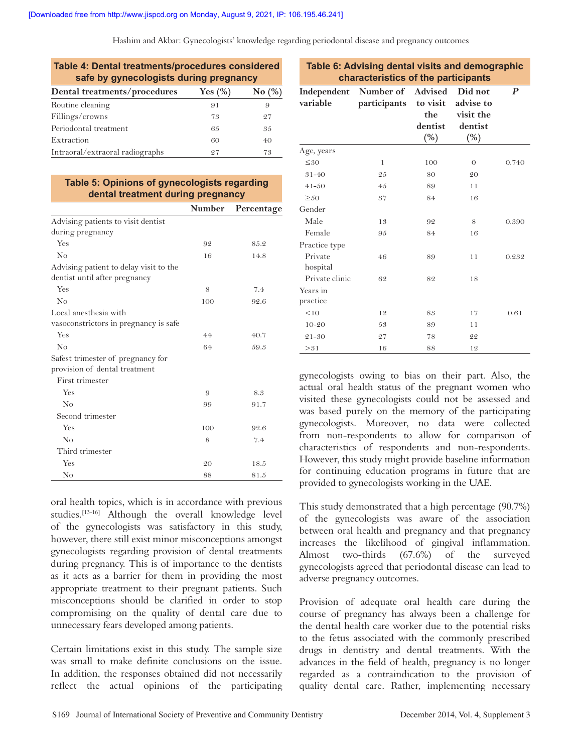| Table 4: Dental treatments/procedures considered<br>safe by gynecologists during pregnancy |            |           |  |
|--------------------------------------------------------------------------------------------|------------|-----------|--|
| Dental treatments/procedures                                                               | Yes $(\%)$ | No $(\%)$ |  |
| Routine cleaning                                                                           | 91         | 9         |  |
| Fillings/crowns                                                                            | 73         | 27        |  |
| Periodontal treatment                                                                      | 65         | 35        |  |
| Extraction                                                                                 | 60         | 40        |  |
| Intraoral/extraoral radiographs                                                            | 9.7        | 73        |  |

#### **Table 5: Opinions of gynecologists regarding dental treatment during pregnancy**

|                                                                         | <b>Number</b> | Percentage |
|-------------------------------------------------------------------------|---------------|------------|
| Advising patients to visit dentist                                      |               |            |
| during pregnancy                                                        |               |            |
| Yes                                                                     | 92            | 85.2       |
| No                                                                      | 16            | 14.8       |
| Advising patient to delay visit to the<br>dentist until after pregnancy |               |            |
| Yes                                                                     | 8             | 7.4        |
| No                                                                      | 100           | 92.6       |
| Local anesthesia with                                                   |               |            |
| vasoconstrictors in pregnancy is safe                                   |               |            |
| Yes                                                                     | 44            | 40.7       |
| No                                                                      | 64            | 59.3       |
| Safest trimester of pregnancy for                                       |               |            |
| provision of dental treatment                                           |               |            |
| First trimester                                                         |               |            |
| Yes                                                                     | 9             | 8.3        |
| N <sub>0</sub>                                                          | 99            | 91.7       |
| Second trimester                                                        |               |            |
| Yes                                                                     | 100           | 92.6       |
| N <sub>0</sub>                                                          | 8             | 7.4        |
| Third trimester                                                         |               |            |
| Yes                                                                     | 20            | 18.5       |
| N <sub>0</sub>                                                          | 88            | 81.5       |

oral health topics, which is in accordance with previous studies.<sup>[13-16]</sup> Although the overall knowledge level of the gynecologists was satisfactory in this study, however, there still exist minor misconceptions amongst gynecologists regarding provision of dental treatments during pregnancy. This is of importance to the dentists as it acts as a barrier for them in providing the most appropriate treatment to their pregnant patients. Such misconceptions should be clarified in order to stop compromising on the quality of dental care due to unnecessary fears developed among patients.

Certain limitations exist in this study. The sample size was small to make definite conclusions on the issue. In addition, the responses obtained did not necessarily reflect the actual opinions of the participating

| characteristics of the participants |                                                        |                          |                                                        |       |  |
|-------------------------------------|--------------------------------------------------------|--------------------------|--------------------------------------------------------|-------|--|
| variable                            | Independent Number of Advised<br>participants to visit | the<br>dentist<br>$(\%)$ | Did not<br>advise to<br>visit the<br>dentist<br>$(\%)$ | P     |  |
| Age, years                          |                                                        |                          |                                                        |       |  |
| $\leq 30$                           | $\mathbf{1}$                                           | 100                      | $\overline{0}$                                         | 0.740 |  |
| $31 - 40$                           | 25                                                     | 80                       | 20                                                     |       |  |
| $41 - 50$                           | 45                                                     | 89                       | 11                                                     |       |  |
| $\geq 50$                           | 37                                                     | 84                       | 16                                                     |       |  |
| Gender                              |                                                        |                          |                                                        |       |  |
| Male                                | 13                                                     | 92                       | 8                                                      | 0.390 |  |
| Female                              | 95                                                     | 84                       | 16                                                     |       |  |
| Practice type                       |                                                        |                          |                                                        |       |  |
| Private<br>hospital                 | 46                                                     | 89                       | 11                                                     | 0.232 |  |
| Private clinic                      | 62                                                     | 82                       | 18                                                     |       |  |
| Years in                            |                                                        |                          |                                                        |       |  |
| practice                            |                                                        |                          |                                                        |       |  |
| <10                                 | 12                                                     | 83                       | 17                                                     | 0.61  |  |
| $10 - 20$                           | 53                                                     | 89                       | 11                                                     |       |  |
| $21 - 30$                           | 27                                                     | 78                       | 22                                                     |       |  |
| >31                                 | 16                                                     | 88                       | 12                                                     |       |  |

**Table 6: Advising dental visits and demographic** 

gynecologists owing to bias on their part. Also, the actual oral health status of the pregnant women who visited these gynecologists could not be assessed and was based purely on the memory of the participating gynecologists. Moreover, no data were collected from non‑respondents to allow for comparison of characteristics of respondents and non‑respondents. However, this study might provide baseline information for continuing education programs in future that are provided to gynecologists working in the UAE.

This study demonstrated that a high percentage (90.7%) of the gynecologists was aware of the association between oral health and pregnancy and that pregnancy increases the likelihood of gingival inflammation. Almost two-thirds (67.6%) of the surveyed gynecologists agreed that periodontal disease can lead to adverse pregnancy outcomes.

Provision of adequate oral health care during the course of pregnancy has always been a challenge for the dental health care worker due to the potential risks to the fetus associated with the commonly prescribed drugs in dentistry and dental treatments. With the advances in the field of health, pregnancy is no longer regarded as a contraindication to the provision of quality dental care. Rather, implementing necessary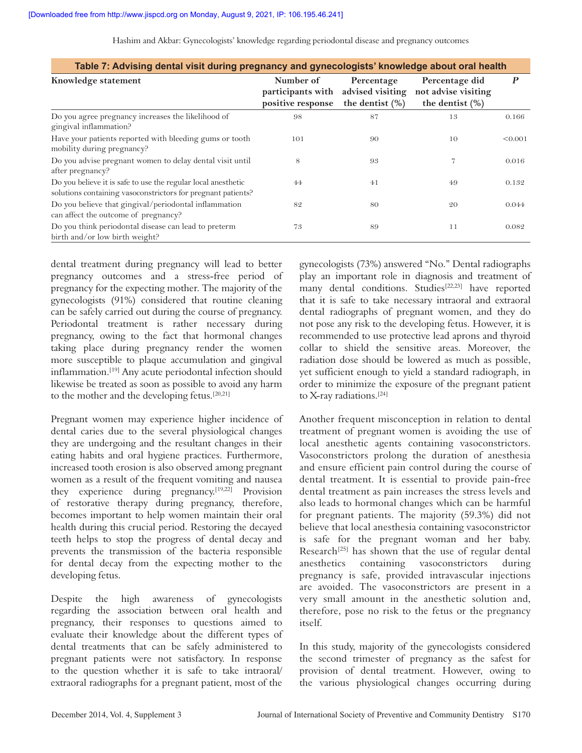| Table 7: Advising dental visit during pregnancy and gynecologists' knowledge about oral health                                |                                                     |                                                      |                                                             |         |  |
|-------------------------------------------------------------------------------------------------------------------------------|-----------------------------------------------------|------------------------------------------------------|-------------------------------------------------------------|---------|--|
| Knowledge statement                                                                                                           | Number of<br>participants with<br>positive response | Percentage<br>advised visiting<br>the dentist $(\%)$ | Percentage did<br>not advise visiting<br>the dentist $(\%)$ | P       |  |
| Do you agree pregnancy increases the likelihood of<br>gingival inflammation?                                                  | 98                                                  | 87                                                   | 13                                                          | 0.166   |  |
| Have your patients reported with bleeding gums or tooth<br>mobility during pregnancy?                                         | 101                                                 | 90                                                   | 10                                                          | < 0.001 |  |
| Do you advise pregnant women to delay dental visit until<br>after pregnancy?                                                  | 8                                                   | 93                                                   | 7                                                           | 0.016   |  |
| Do you believe it is safe to use the regular local anesthetic<br>solutions containing vasoconstrictors for pregnant patients? | 44                                                  | $4-1$                                                | 49                                                          | 0.132   |  |
| Do you believe that gingival/periodontal inflammation<br>can affect the outcome of pregnancy?                                 | 82                                                  | 80                                                   | 20                                                          | 0.044   |  |
| Do you think periodontal disease can lead to preterm<br>birth and/or low birth weight?                                        | 73                                                  | 89                                                   | 11                                                          | 0.082   |  |

dental treatment during pregnancy will lead to better pregnancy outcomes and a stress-free period of pregnancy for the expecting mother. The majority of the gynecologists (91%) considered that routine cleaning can be safely carried out during the course of pregnancy. Periodontal treatment is rather necessary during pregnancy, owing to the fact that hormonal changes taking place during pregnancy render the women more susceptible to plaque accumulation and gingival inflammation.<sup>[19]</sup> Any acute periodontal infection should likewise be treated as soon as possible to avoid any harm to the mother and the developing fetus.[20,21]

Pregnant women may experience higher incidence of dental caries due to the several physiological changes they are undergoing and the resultant changes in their eating habits and oral hygiene practices. Furthermore, increased tooth erosion is also observed among pregnant women as a result of the frequent vomiting and nausea they experience during pregnancy.<sup>[19,22]</sup> Provision of restorative therapy during pregnancy, therefore, becomes important to help women maintain their oral health during this crucial period. Restoring the decayed teeth helps to stop the progress of dental decay and prevents the transmission of the bacteria responsible for dental decay from the expecting mother to the developing fetus.

Despite the high awareness of gynecologists regarding the association between oral health and pregnancy, their responses to questions aimed to evaluate their knowledge about the different types of dental treatments that can be safely administered to pregnant patients were not satisfactory. In response to the question whether it is safe to take intraoral/ extraoral radiographs for a pregnant patient, most of the

gynecologists (73%) answered "No." Dental radiographs play an important role in diagnosis and treatment of many dental conditions. Studies<sup>[22,23]</sup> have reported that it is safe to take necessary intraoral and extraoral dental radiographs of pregnant women, and they do not pose any risk to the developing fetus. However, it is recommended to use protective lead aprons and thyroid collar to shield the sensitive areas. Moreover, the radiation dose should be lowered as much as possible, yet sufficient enough to yield a standard radiograph, in order to minimize the exposure of the pregnant patient to X-ray radiations.<sup>[24]</sup>

Another frequent misconception in relation to dental treatment of pregnant women is avoiding the use of local anesthetic agents containing vasoconstrictors. Vasoconstrictors prolong the duration of anesthesia and ensure efficient pain control during the course of dental treatment. It is essential to provide pain-free dental treatment as pain increases the stress levels and also leads to hormonal changes which can be harmful for pregnant patients. The majority (59.3%) did not believe that local anesthesia containing vasoconstrictor is safe for the pregnant woman and her baby. Research<sup>[25]</sup> has shown that the use of regular dental anesthetics containing vasoconstrictors during pregnancy is safe, provided intravascular injections are avoided. The vasoconstrictors are present in a very small amount in the anesthetic solution and, therefore, pose no risk to the fetus or the pregnancy itself.

In this study, majority of the gynecologists considered the second trimester of pregnancy as the safest for provision of dental treatment. However, owing to the various physiological changes occurring during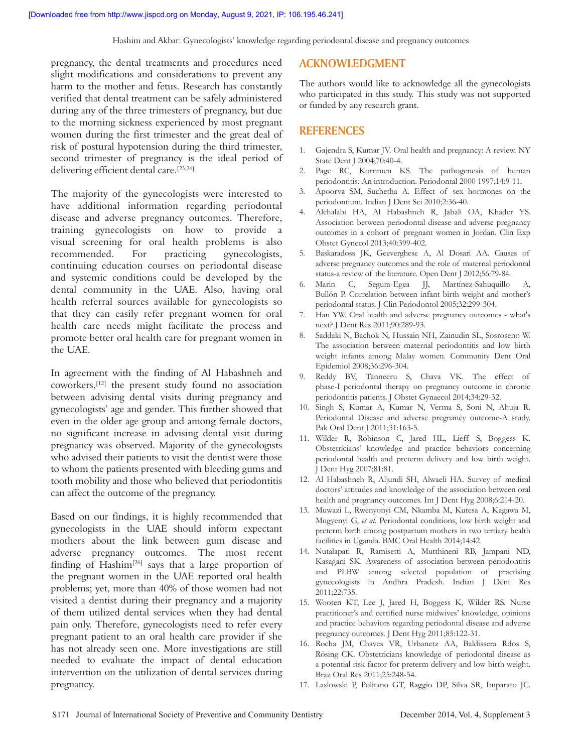pregnancy, the dental treatments and procedures need slight modifications and considerations to prevent any harm to the mother and fetus. Research has constantly verified that dental treatment can be safely administered during any of the three trimesters of pregnancy, but due to the morning sickness experienced by most pregnant women during the first trimester and the great deal of risk of postural hypotension during the third trimester, second trimester of pregnancy is the ideal period of delivering efficient dental care.[23,24]

The majority of the gynecologists were interested to have additional information regarding periodontal disease and adverse pregnancy outcomes. Therefore, training gynecologists on how to provide a visual screening for oral health problems is also recommended. For practicing gynecologists, continuing education courses on periodontal disease and systemic conditions could be developed by the dental community in the UAE. Also, having oral health referral sources available for gynecologists so that they can easily refer pregnant women for oral health care needs might facilitate the process and promote better oral health care for pregnant women in the UAE.

In agreement with the finding of Al Habashneh and coworkers,[12] the present study found no association between advising dental visits during pregnancy and gynecologists' age and gender. This further showed that even in the older age group and among female doctors, no significant increase in advising dental visit during pregnancy was observed. Majority of the gynecologists who advised their patients to visit the dentist were those to whom the patients presented with bleeding gums and tooth mobility and those who believed that periodontitis can affect the outcome of the pregnancy.

Based on our findings, it is highly recommended that gynecologists in the UAE should inform expectant mothers about the link between gum disease and adverse pregnancy outcomes. The most recent finding of Hashim<sup>[26]</sup> says that a large proportion of the pregnant women in the UAE reported oral health problems; yet, more than 40% of those women had not visited a dentist during their pregnancy and a majority of them utilized dental services when they had dental pain only. Therefore, gynecologists need to refer every pregnant patient to an oral health care provider if she has not already seen one. More investigations are still needed to evaluate the impact of dental education intervention on the utilization of dental services during pregnancy.

# **ACKNOWLEDGMENT**

The authors would like to acknowledge all the gynecologists who participated in this study. This study was not supported or funded by any research grant.

# **REFERENCES**

- 1. Gajendra S, Kumar JV. Oral health and pregnancy: A review. NY State Dent J 2004;70:40-4.
- 2. Page RC, Kornmen KS. The pathogenesis of human periodontitis: An introduction. Periodontal 2000 1997;14:9-11.
- 3. Apoorva SM, Suchetha A. Effect of sex hormones on the periodontium. Indian J Dent Sci 2010;2:36-40.
- 4. Alchalabi HA, Al Habashneh R, Jabali OA, Khader YS. Association between periodontal disease and adverse pregnancy outcomes in a cohort of pregnant women in Jordan. Clin Exp Obstet Gynecol 2013;40:399-402.
- 5. Baskaradoss JK, Geeverghese A, Al Dosari AA. Causes of adverse pregnancy outcomes and the role of maternal periodontal status-a review of the literature. Open Dent J 2012;56:79-84.
- 6. Marin C, Segura-Egea JJ, Martínez-Sahuquillo A, Bullón P. Correlation between infant birth weight and mother's periodontal status. J Clin Periodontol 2005;32:299-304.
- 7. Han YW. Oral health and adverse pregnancy outcomes what's next? J Dent Res 2011;90:289-93.
- 8. Saddaki N, Bachok N, Hussain NH, Zainudin SL, Sosroseno W. The association between maternal periodontitis and low birth weight infants among Malay women. Community Dent Oral Epidemiol 2008;36:296-304.
- Reddy BV, Tanneeru S, Chava VK. The effect of phase-I periodontal therapy on pregnancy outcome in chronic periodontitis patients. J Obstet Gynaecol 2014;34:29-32.
- 10. Singh S, Kumar A, Kumar N, Verma S, Soni N, Ahuja R. Periodontal Disease and adverse pregnancy outcome-A study. Pak Oral Dent J 2011;31:163-5.
- 11. Wilder R, Robinson C, Jared HL, Lieff S, Boggess K. Obstetricians' knowledge and practice behaviors concerning periodontal health and preterm delivery and low birth weight. J Dent Hyg 2007;81:81.
- 12. Al Habashneh R, Aljundi SH, Alwaeli HA. Survey of medical doctors' attitudes and knowledge of the association between oral health and pregnancy outcomes. Int J Dent Hyg 2008;6:214-20.
- 13. Muwazi L, Rwenyonyi CM, Nkamba M, Kutesa A, Kagawa M, Mugyenyi G, *et al*. Periodontal conditions, low birth weight and preterm birth among postpartum mothers in two tertiary health facilities in Uganda. BMC Oral Health 2014;14:42.
- 14. Nutalapati R, Ramisetti A, Mutthineni RB, Jampani ND, Kasagani SK. Awareness of association between periodontitis and PLBW among selected population of practising gynecologists in Andhra Pradesh. Indian J Dent Res 2011;22:735.
- 15. Wooten KT, Lee J, Jared H, Boggess K, Wilder RS. Nurse practitioner's and certified nurse midwives' knowledge, opinions and practice behaviors regarding periodontal disease and adverse pregnancy outcomes. J Dent Hyg 2011;85:122-31.
- 16. Rocha JM, Chaves VR, Urbanetz AA, Baldissera Rdos S, Rösing CK. Obstetricians knowledge of periodontal disease as a potential risk factor for preterm delivery and low birth weight. Braz Oral Res 2011;25:248-54.
- 17. Laslowski P, Politano GT, Raggio DP, Silva SR, Imparato JC.